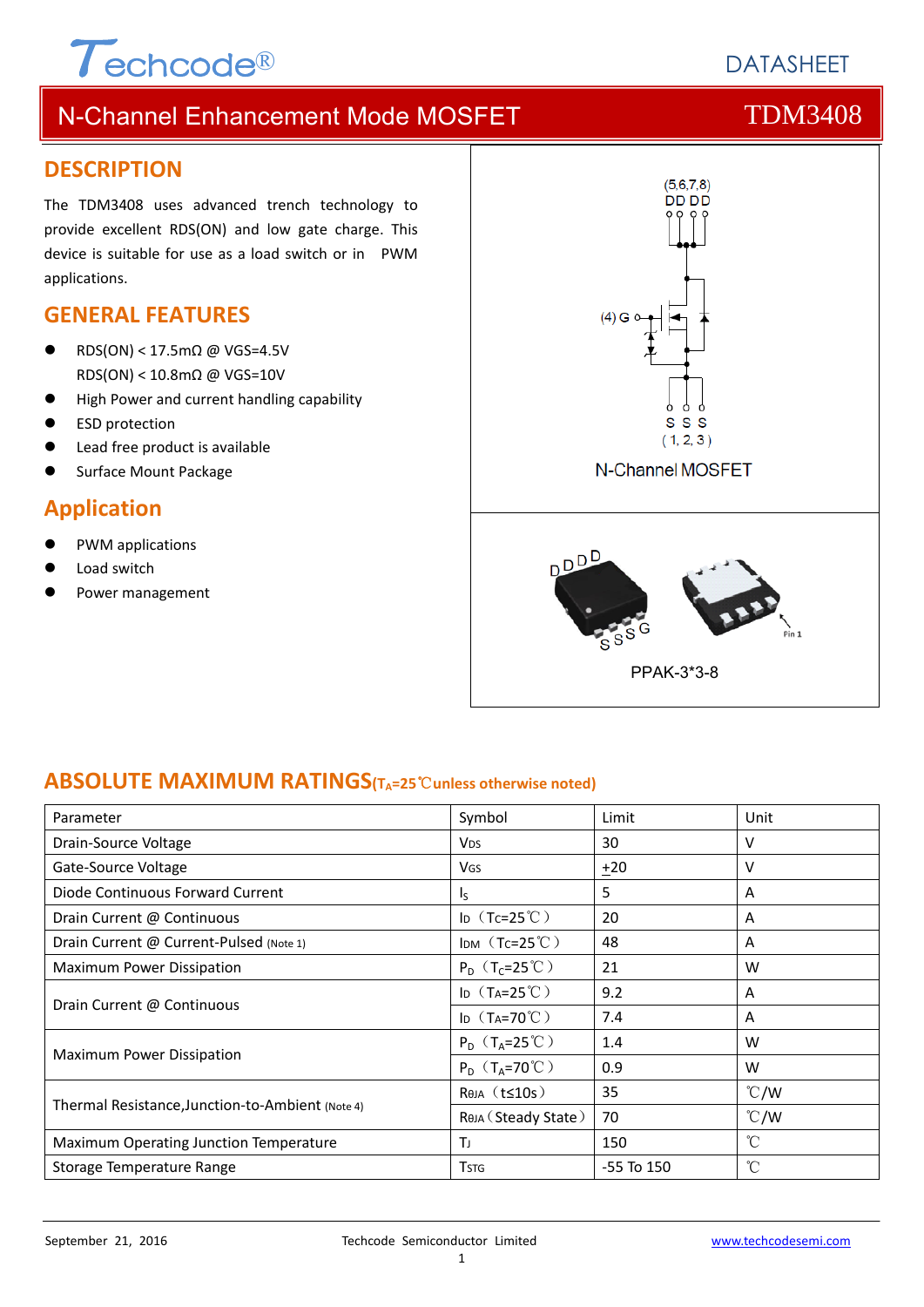# $\tau$ <sub>echcode®</sub>

# **DATASHEFT**

# N-Channel Enhancement Mode MOSFET THE TDM3408

#### **DESCRIPTION**

The TDM3408 uses advanced trench technology to provide excellent RDS(ON) and low gate charge. This device is suitable for use as a load switch or in PWM applications.

### **GENERAL FEATURES**

- RDS(ON) < 17.5mΩ @ VGS=4.5V RDS(ON) < 10.8mΩ @ VGS=10V
- High Power and current handling capability
- ESD protection
- Lead free product is available
- Surface Mount Package

### **Application**

- PWM applications
- Load switch
- Power management



### **ABSOLUTE MAXIMUM RATINGS(TA=25**℃**unless otherwise noted)**

| Parameter                                        | Symbol                       | Limit          | Unit            |
|--------------------------------------------------|------------------------------|----------------|-----------------|
| Drain-Source Voltage                             | <b>V<sub>DS</sub></b>        | 30             | v               |
| Gate-Source Voltage                              | <b>V<sub>GS</sub></b>        | ±20            | v               |
| Diode Continuous Forward Current                 | $\mathsf{I}_\mathsf{S}$      | 5              | A               |
| Drain Current @ Continuous                       | ID $(Tc=25^{\circ}C)$        | 20             | A               |
| Drain Current @ Current-Pulsed (Note 1)          | IDM $(Tc=25^{\circ}C)$       | 48             | A               |
| <b>Maximum Power Dissipation</b>                 | $P_D$ (T <sub>C</sub> =25°C) | 21             | W               |
| Drain Current @ Continuous                       | ID $(T_A=25^{\circ}C)$       | 9.2            | A               |
|                                                  | ID $(T_A=70^{\circ}C)$       | 7.4            | A               |
| Maximum Power Dissipation                        | $P_D$ (T <sub>A</sub> =25°C) | 1.4            | W               |
|                                                  | $P_D$ (T <sub>A</sub> =70°C) | 0.9            | W               |
| Thermal Resistance, Junction-to-Ambient (Note 4) | $Rtheta$ (t $\leq$ 10s)      | 35             | $\degree$ C/W   |
|                                                  | Rөја (Steady State)          | 70             | $\degree$ C/W   |
| Maximum Operating Junction Temperature           | Τı                           | 150            | °C              |
| Storage Temperature Range                        | <b>T</b> stg                 | $-55$ To $150$ | $\rm ^{\circ}C$ |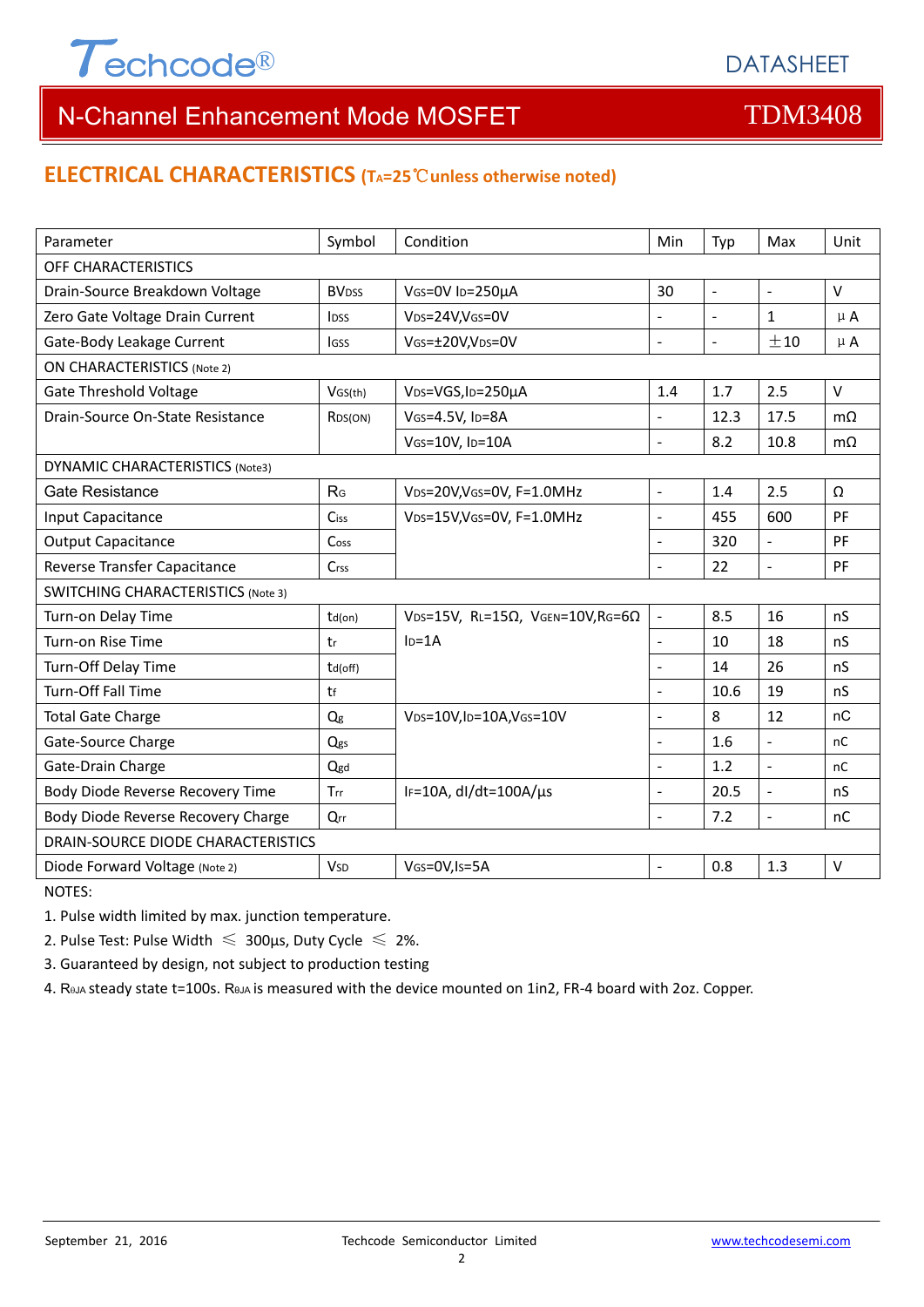

### **ELECTRICAL CHARACTERISTICS (TA=25**℃**unless otherwise noted)**

| Parameter                                 | Symbol                   | Condition                                                     | Min                      | Typ            | Max                 | Unit      |  |  |
|-------------------------------------------|--------------------------|---------------------------------------------------------------|--------------------------|----------------|---------------------|-----------|--|--|
| OFF CHARACTERISTICS                       |                          |                                                               |                          |                |                     |           |  |  |
| Drain-Source Breakdown Voltage            | <b>BV</b> <sub>DSS</sub> | VGS=0V ID=250µA                                               | 30                       | $\mathbb{Z}^2$ | $\bar{\mathcal{L}}$ | $\vee$    |  |  |
| Zero Gate Voltage Drain Current           | I <sub>DSS</sub>         | VDS=24V,VGS=0V                                                |                          | $\mathbb{L}$   | $\mathbf{1}$        | $\mu$ A   |  |  |
| Gate-Body Leakage Current                 | lgss                     | VGS=±20V,VDS=0V                                               |                          | $\blacksquare$ | ±10                 | $\mu$ A   |  |  |
| <b>ON CHARACTERISTICS (Note 2)</b>        |                          |                                                               |                          |                |                     |           |  |  |
| <b>Gate Threshold Voltage</b>             | VGS(th)                  | VDS=VGS, ID=250µA                                             | 1.4                      | 1.7            | 2.5                 | $\vee$    |  |  |
| Drain-Source On-State Resistance          | R <sub>DS</sub> (ON)     | VGS=4.5V, ID=8A                                               | $\overline{a}$           | 12.3           | 17.5                | $m\Omega$ |  |  |
|                                           |                          | VGS=10V, ID=10A                                               | $\overline{\phantom{a}}$ | 8.2            | 10.8                | $m\Omega$ |  |  |
| <b>DYNAMIC CHARACTERISTICS (Note3)</b>    |                          |                                                               |                          |                |                     |           |  |  |
| <b>Gate Resistance</b>                    | R <sub>G</sub>           | VDS=20V, VGS=0V, F=1.0MHz                                     | $\overline{\phantom{a}}$ | 1.4            | 2.5                 | Ω         |  |  |
| Input Capacitance                         | Ciss                     | VDS=15V, VGS=0V, F=1.0MHz                                     | $\overline{a}$           | 455            | 600                 | PF        |  |  |
| <b>Output Capacitance</b>                 | Coss                     |                                                               | $\blacksquare$           | 320            | $\overline{a}$      | PF        |  |  |
| Reverse Transfer Capacitance              | <b>Crss</b>              |                                                               |                          | 22             | ÷,                  | PF        |  |  |
| <b>SWITCHING CHARACTERISTICS (Note 3)</b> |                          |                                                               |                          |                |                     |           |  |  |
| Turn-on Delay Time                        | $td($ on $)$             | VDS=15V, RL=15 $\Omega$ , VGEN=10V, RG=6 $\Omega$             | $\blacksquare$           | 8.5            | 16                  | nS        |  |  |
| Turn-on Rise Time                         | tr                       | $ID=1A$                                                       | $\Box$                   | 10             | 18                  | nS        |  |  |
| Turn-Off Delay Time                       | td(off)                  |                                                               | $\blacksquare$           | 14             | 26                  | nS        |  |  |
| Turn-Off Fall Time                        | tf                       |                                                               | $\blacksquare$           | 10.6           | 19                  | nS        |  |  |
| <b>Total Gate Charge</b>                  | Qg                       | V <sub>DS</sub> =10V,I <sub>D</sub> =10A,V <sub>GS</sub> =10V | L.                       | 8              | 12                  | nC        |  |  |
| Gate-Source Charge                        | Qgs                      |                                                               |                          | 1.6            | $\overline{a}$      | nC        |  |  |
| Gate-Drain Charge                         | Qgd                      |                                                               | $\blacksquare$           | 1.2            | $\overline{a}$      | nC        |  |  |
| Body Diode Reverse Recovery Time          | Trr                      | IF=10A, $dl/dt=100A/\mu s$                                    | $\overline{a}$           | 20.5           | $\overline{a}$      | nS        |  |  |
| Body Diode Reverse Recovery Charge        | Qrr                      |                                                               | $\blacksquare$           | 7.2            | $\blacksquare$      | nC        |  |  |
| DRAIN-SOURCE DIODE CHARACTERISTICS        |                          |                                                               |                          |                |                     |           |  |  |
| Diode Forward Voltage (Note 2)            | <b>V<sub>SD</sub></b>    | VGS=0V, Is=5A                                                 |                          | 0.8            | 1.3                 | $\vee$    |  |  |

NOTES:

1. Pulse width limited by max. junction temperature.

2. Pulse Test: Pulse Width  $\leq 300$ μs, Duty Cycle  $\leq 2\%$ .

3. Guaranteed by design, not subject to production testing

4. ReJA steady state t=100s. ReJA is measured with the device mounted on 1in2, FR-4 board with 2oz. Copper.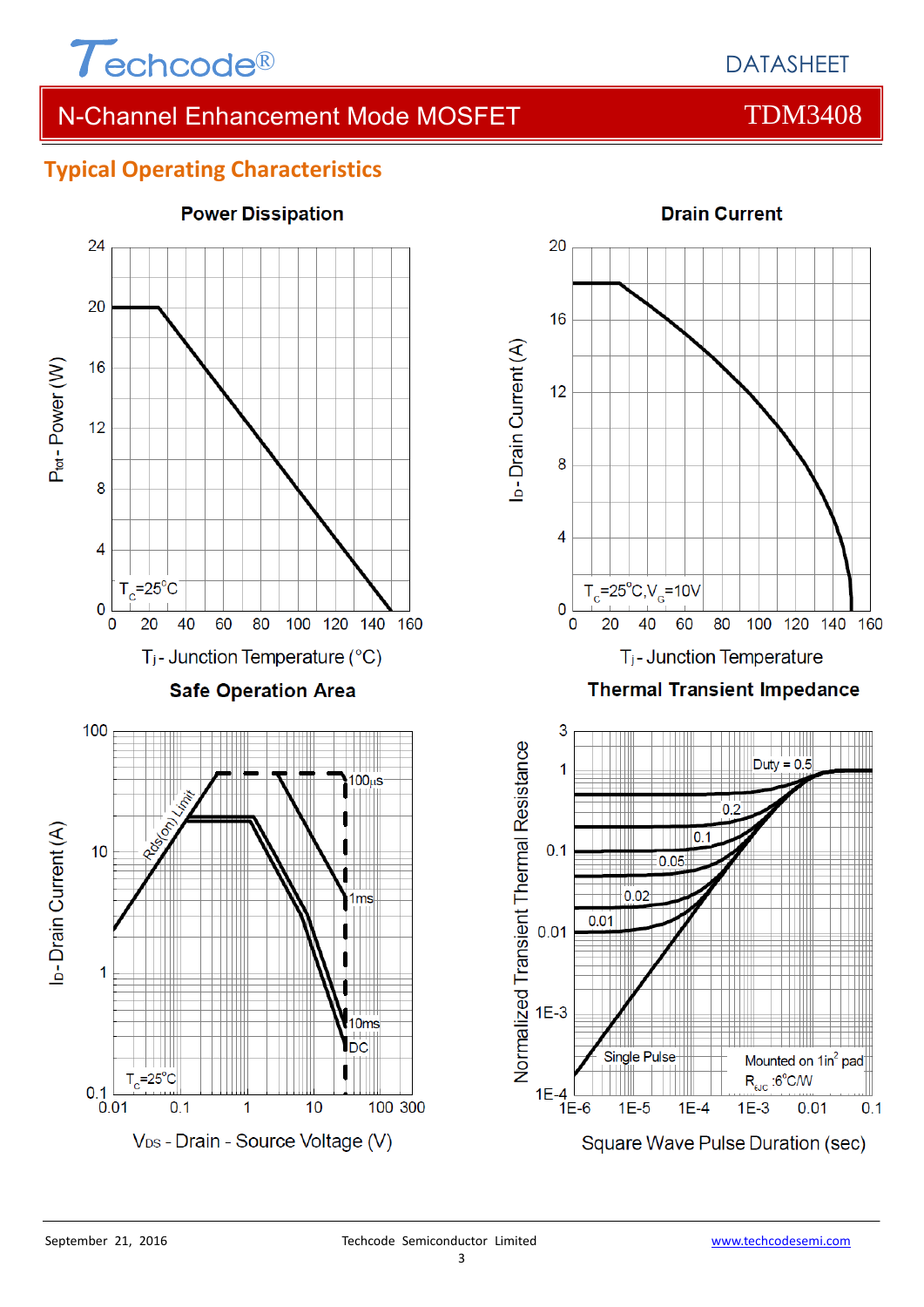

### **Typical Operating Characteristics**



# **Power Dissipation**

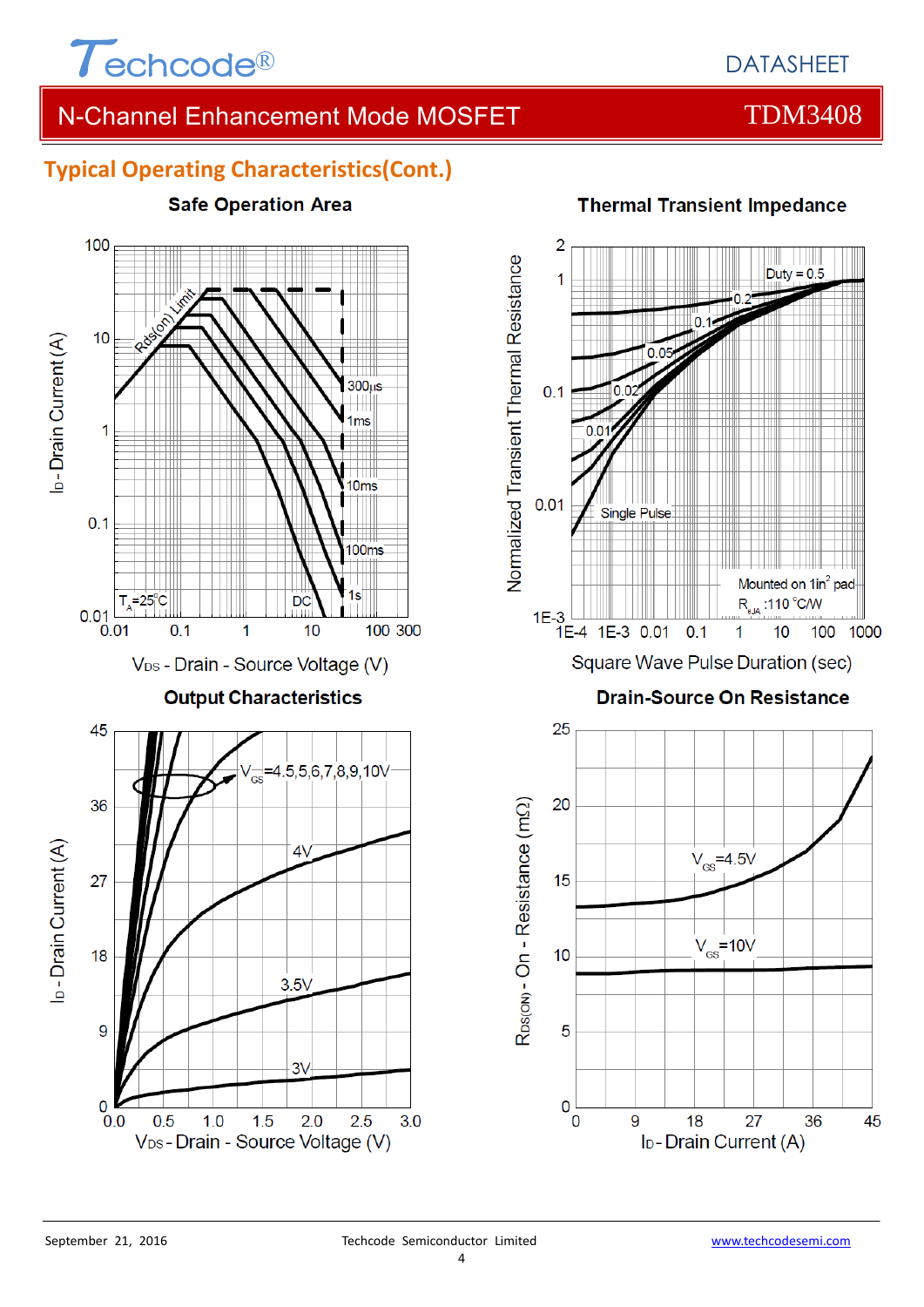

# **Typical Operating Characteristics(Cont.)**







### **Thermal Transient Impedance**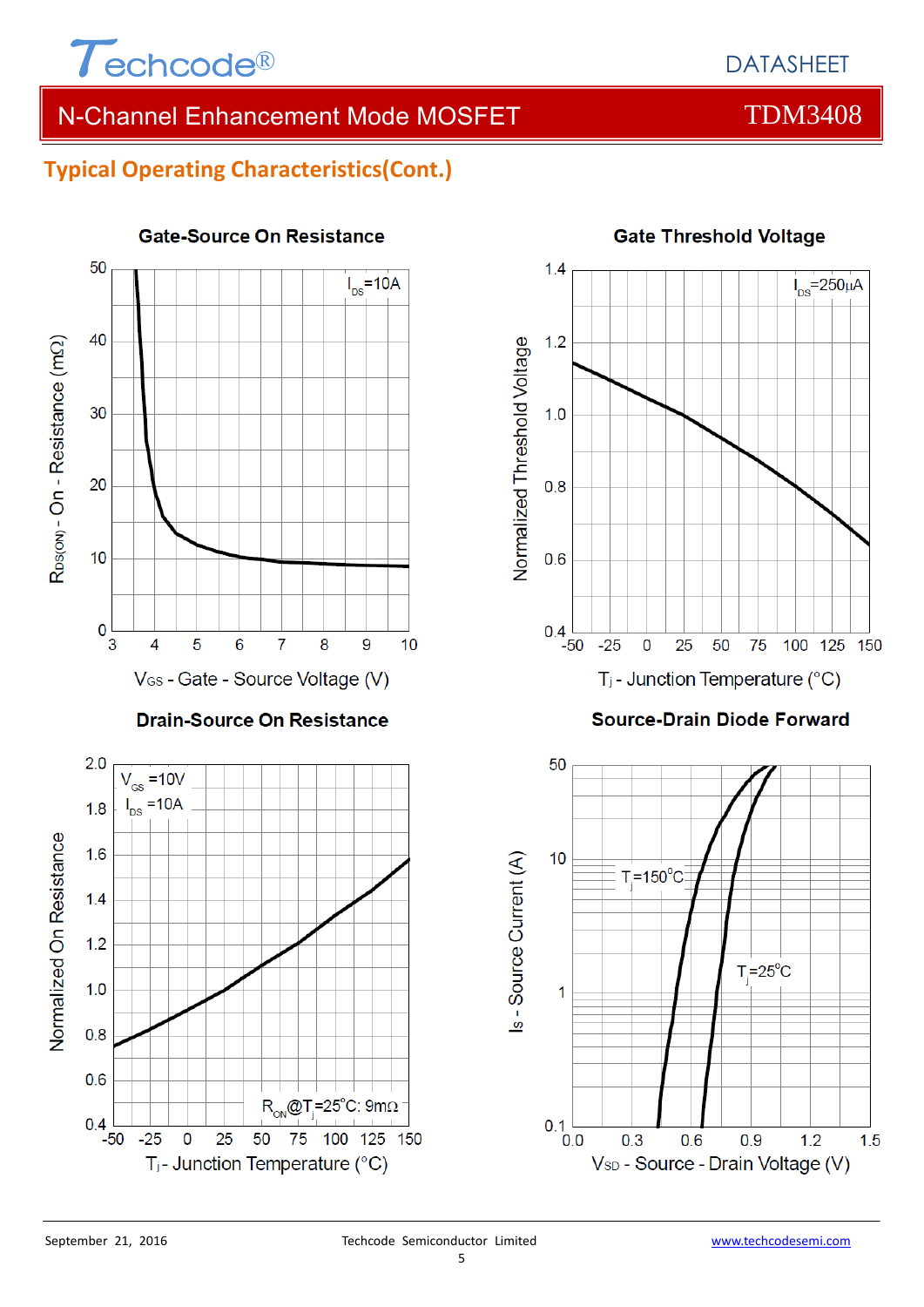

# **Typical Operating Characteristics(Cont.)**



#### **Gate-Source On Resistance**



#### **Source-Drain Diode Forward**



 $0.4$ 

 $-50$ 

 $-25$ 

 $\bf{0}$ 

25

50

T<sub>j</sub>- Junction Temperature (°C)

75

 $R_{ON}$ @T<sub>i</sub>=25°C: 9mΩ

100 125 150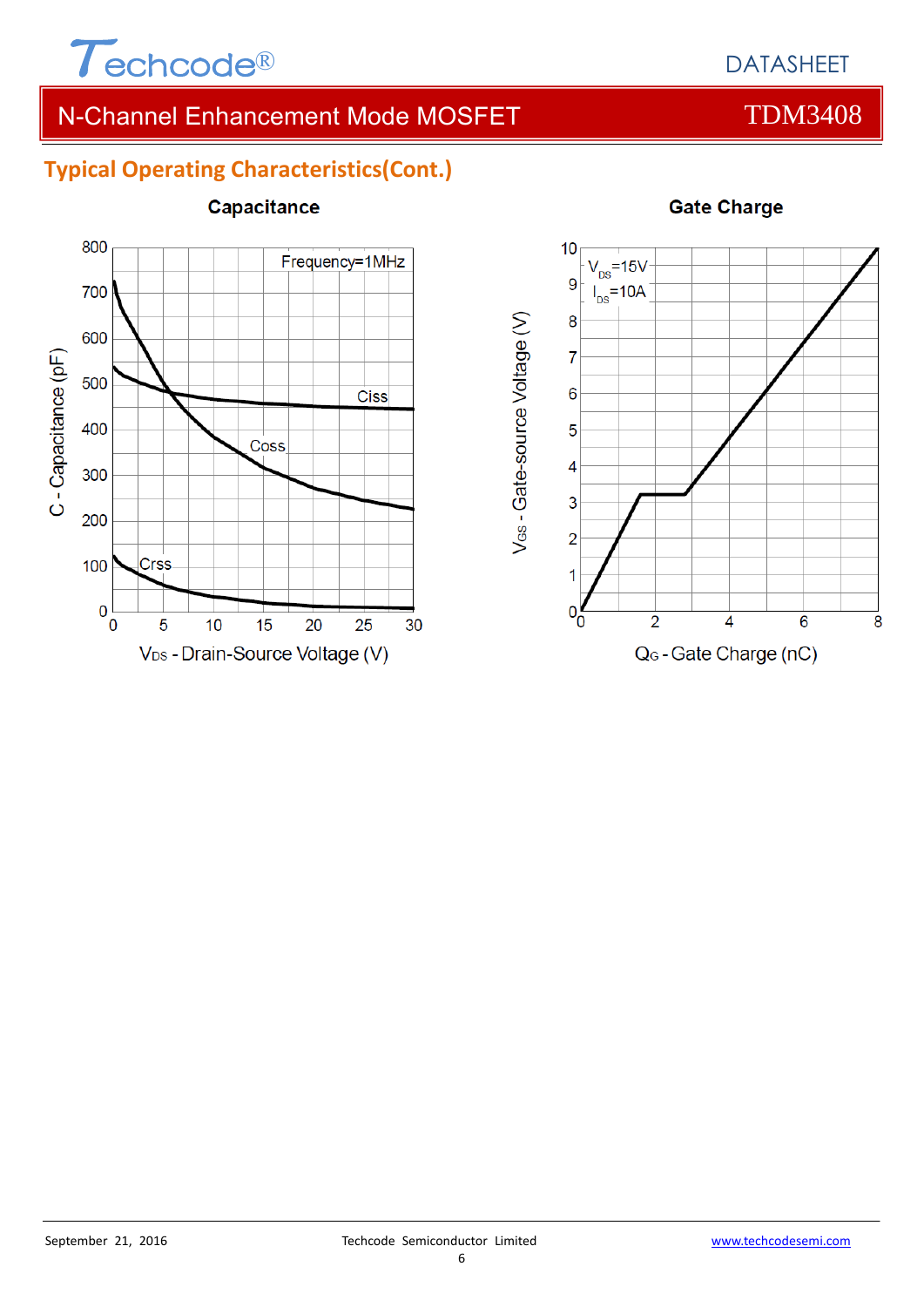

# **Typical Operating Characteristics(Cont.)**



### Capacitance



#### **Gate Charge**

#### 6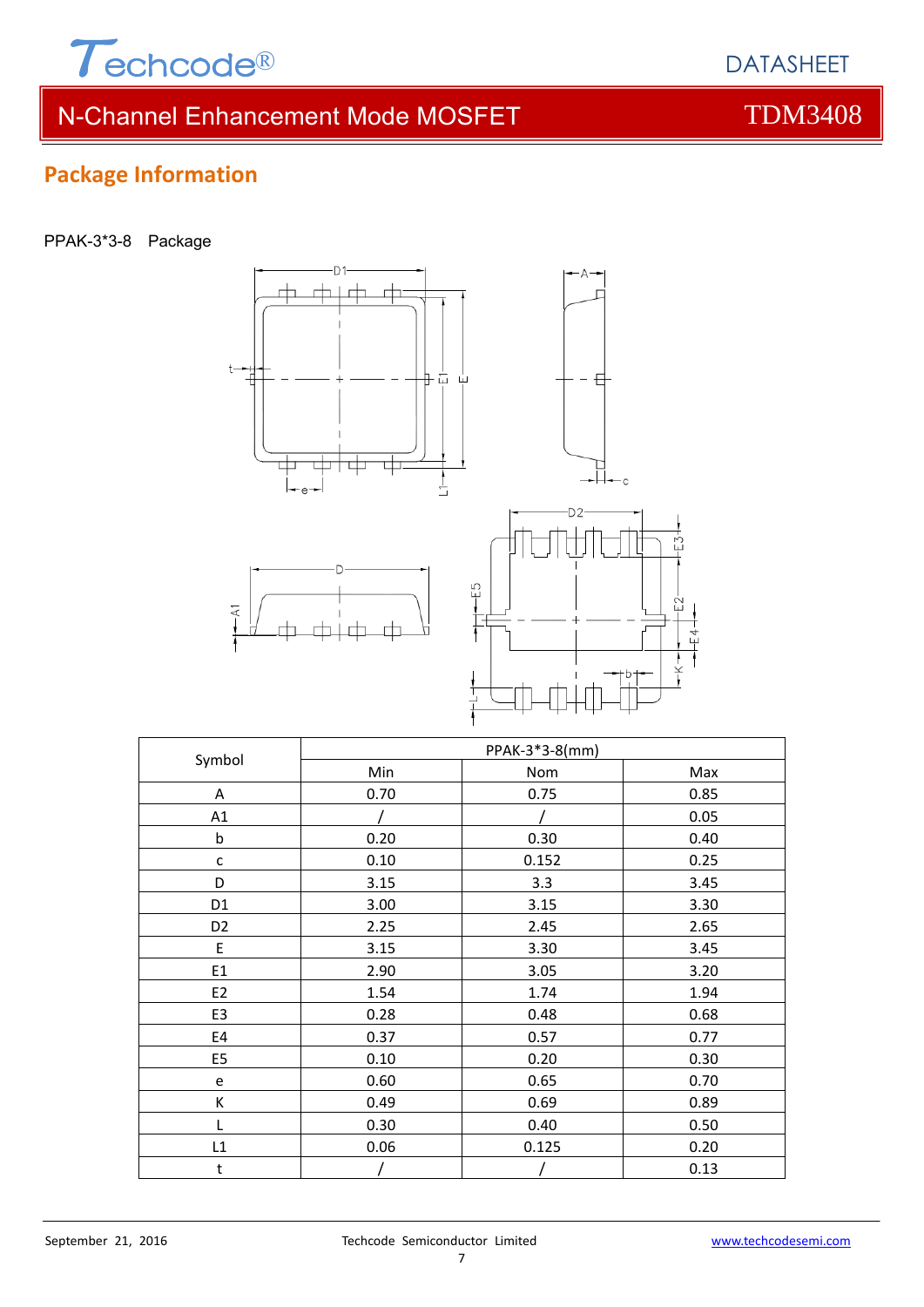

# **Package Information**

| PPAK-3*3-8 | Package |
|------------|---------|
|            |         |



| Symbol         | PPAK-3*3-8(mm) |       |      |  |
|----------------|----------------|-------|------|--|
|                | Min            | Nom   | Max  |  |
| A              | 0.70           | 0.75  | 0.85 |  |
| A1             |                |       | 0.05 |  |
| $\mathsf b$    | 0.20           | 0.30  | 0.40 |  |
| С              | 0.10           | 0.152 | 0.25 |  |
| D              | 3.15           | 3.3   | 3.45 |  |
| D <sub>1</sub> | 3.00           | 3.15  | 3.30 |  |
| D <sub>2</sub> | 2.25           | 2.45  | 2.65 |  |
| E              | 3.15           | 3.30  | 3.45 |  |
| E1             | 2.90           | 3.05  | 3.20 |  |
| E2             | 1.54           | 1.74  | 1.94 |  |
| E3             | 0.28           | 0.48  | 0.68 |  |
| E4             | 0.37           | 0.57  | 0.77 |  |
| E <sub>5</sub> | 0.10           | 0.20  | 0.30 |  |
| e              | 0.60           | 0.65  | 0.70 |  |
| К              | 0.49           | 0.69  | 0.89 |  |
| L              | 0.30           | 0.40  | 0.50 |  |
| L1             | 0.06           | 0.125 | 0.20 |  |
| t              |                |       | 0.13 |  |